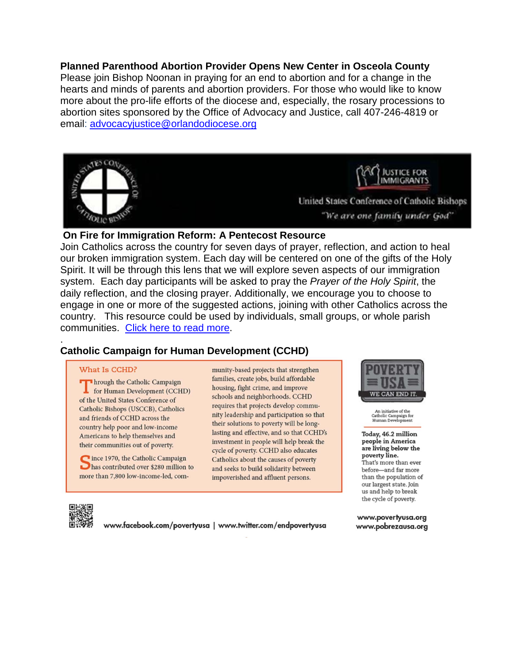**Planned Parenthood Abortion Provider Opens New Center in Osceola County** Please join Bishop Noonan in praying for an end to abortion and for a change in the hearts and minds of parents and abortion providers. For those who would like to know more about the pro-life efforts of the diocese and, especially, the rosary processions to abortion sites sponsored by the Office of Advocacy and Justice, call 407-246-4819 or email: [advocacyjustice@orlandodiocese.org](mailto:advocacyjustice@orlandodiocese.org)



#### **On Fire for Immigration Reform: A Pentecost Resource**

Join Catholics across the country for seven days of prayer, reflection, and action to heal our broken immigration system. Each day will be centered on one of the gifts of the Holy Spirit. It will be through this lens that we will explore seven aspects of our immigration system. Each day participants will be asked to pray the *Prayer of the Holy Spirit*, the daily reflection, and the closing prayer. Additionally, we encourage you to choose to engage in one or more of the suggested actions, joining with other Catholics across the country. This resource could be used by individuals, small groups, or whole parish communities. [Click here to read more.](http://www.orlandodiocese.org/images/stories/e-scroll/2014/05/20140516/ajPentImm20140516.pdf)

#### . **[Catholic Campaign for Human Development \(CCHD\)](http://www.povertyusa.org)**

#### What Is CCHD?

hrough the Catholic Campaign for Human Development (CCHD) of the United States Conference of Catholic Bishops (USCCB), Catholics and friends of CCHD across the country help poor and low-income Americans to help themselves and their communities out of poverty.

nce 1970, the Catholic Campaign has contributed over \$280 million to more than 7,800 low-income-led, community-based projects that strengthen families, create jobs, build affordable housing, fight crime, and improve schools and neighborhoods. CCHD requires that projects develop community leadership and participation so that their solutions to poverty will be longlasting and effective, and so that CCHD's investment in people will help break the cycle of poverty. CCHD also educates Catholics about the causes of poverty and seeks to build solidarity between impoverished and affluent persons.



An initiative of the<br>Catholic Campaign for<br>Human Development

Today, 46.2 million people in America are living below the poverty line. That's more than ever before-and far more than the population of our largest state. Join us and help to break the cycle of poverty.



www.facebook.com/povertyusa | www.twitter.com/endpovertyusa

www.povertyusa.org www.pobrezausa.org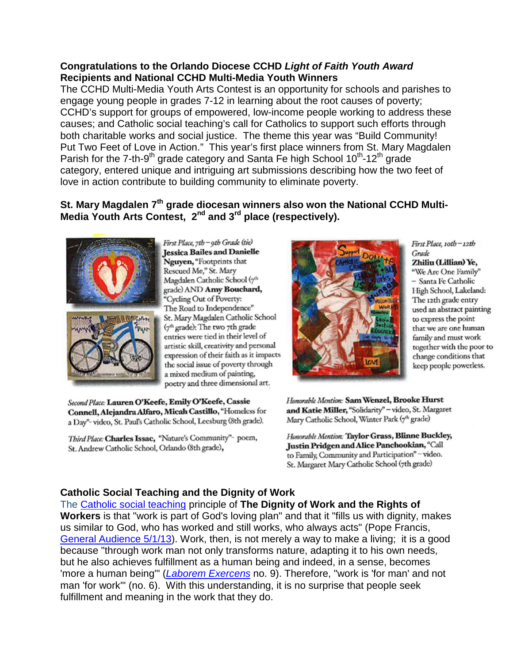### **Congratulations to the Orlando Diocese CCHD** *Light of Faith Youth Award* **Recipients and National CCHD Multi-Media Youth Winners**

The CCHD Multi-Media Youth Arts Contest is an opportunity for schools and parishes to engage young people in grades 7-12 in learning about the root causes of poverty; CCHD's support for groups of empowered, low-income people working to address these causes; and Catholic social teaching's call for Catholics to support such efforts through both charitable works and social justice. The theme this year was "Build Community! Put Two Feet of Love in Action." This year's first place winners from St. Mary Magdalen Parish for the 7-th-9<sup>th</sup> grade category and Santa Fe high School  $10^{th}$ -12<sup>th</sup> grade category, entered unique and intriguing art submissions describing how the two feet of love in action contribute to building community to eliminate poverty.

## **St. Mary Magdalen 7th grade diocesan winners also won the National CCHD Multi-Media Youth Arts Contest, 2nd and 3rd place (respectively).**



First Place, 7th - 9th Grade (tie) **Iessica Bailes and Danielle** Nguven, "Footprints that Rescued Me," St. Mary Magdalen Catholic School (7th grade) AND Amy Bouchard, "Cycling Out of Poverty: The Road to Independence" St. Mary Magdalen Catholic School (7th grade): The two 7th grade entries were tied in their level of artistic skill, creativity and personal expression of their faith as it impacts the social issue of poverty through a mixed medium of painting, poetry and three dimensional art.

Second Place: Lauren O'Keefe, Emily O'Keefe, Cassie Connell, Alejandra Alfaro, Micah Castillo, "Homeless for a Day"- video, St. Paul's Catholic School, Leesburg (8th grade).

Third Place: Charles Issac, "Nature's Community"- poem, St. Andrew Catholic School, Orlando (8th grade),



First Place, roth-12th Grade Zhiliu (Lillian) Ye, "We Are One Family" - Santa Fe Catholic High School, Lakeland: The 12th grade entry used an abstract painting to express the point that we are one human family and must work together with the poor to change conditions that keep people powerless.

Honorable Mention: Sam Wenzel, Brooke Hurst and Katie Miller, "Solidarity" - video, St. Margaret Mary Catholic School, Winter Park (7th grade)

Honorable Mention: Taylor Grass, Blinne Buckley, Justin Pridgen and Alice Panchookian, "Call to Family, Community and Participation" - video. St. Margaret Mary Catholic School (7th grade)

# **Catholic Social Teaching and the Dignity of Work**

The [Catholic social teaching](http://r20.rs6.net/tn.jsp?f=001bRZy8533bIc2Qgf3Ucc6I378pi2GCu-yZf48iTEx6g__z2145f4qgxDDDQ-9LxAVXNPUvE_gspAke-6KDMI7LszCiuf6alGoP27x1J9oIRFwukNYhls3ccc9_reGT_cWjoDwyu45ajgeZwDDoYoi2G2MDK1N7ZXLH5QmYdpH4erad6GPpYK-AjKp9MOwmJy5asMWzEiLVU6A4c5d8yYME5aGB1ggjTSrIaWYLr0w947oY1xAn06bjDab8VwQ7msOHwDDw5g5o5umPlUSygc_bclq5vgT-IVebUQIBWPUa5jboGyX-m6peROIik66sj2D&c=N7t9bfLTqMUv2lsXjcd46tP_vCy2TieF6wvGk0aLr6pVERlEqzR2WA==&ch=WLnpC2sMMsikGqrK_QA4aLYaJnz0ZzeBSAYp9Ot86iJ7uhVfjdmToQ==) principle of **The Dignity of Work and the Rights of Workers** is that "work is part of God's loving plan" and that it "fills us with dignity, makes us similar to God, who has worked and still works, who always acts" (Pope Francis, [General Audience 5/1/13\)](http://r20.rs6.net/tn.jsp?f=001bRZy8533bIc2Qgf3Ucc6I378pi2GCu-yZf48iTEx6g__z2145f4qg8noH0Dux75buAHBp_EoyCqldl97VvF2lPD1BrsZC73QJoUyrYDOtLkdysFsOqNywAEVDcU6lX2NKGc14hmnCZZOdkHO_5FW3kQTZ09AQKZX8ixieUcZynRau__tYZM9c6nGATZViC8UZRi_48ji9v8A7qmskquN8taPlyMR-WOQ0-Mwy31wxF-hK89NeFJpVzJ7pH4HwJJ-Ys7L_fCym_WqmrLyXV1gKqF_McGfOHjC_4cLioJPYFLs7_4jQB-97g==&c=N7t9bfLTqMUv2lsXjcd46tP_vCy2TieF6wvGk0aLr6pVERlEqzR2WA==&ch=WLnpC2sMMsikGqrK_QA4aLYaJnz0ZzeBSAYp9Ot86iJ7uhVfjdmToQ==). Work, then, is not merely a way to make a living; it is a good because "through work man not only transforms nature, adapting it to his own needs, but he also achieves fulfillment as a human being and indeed, in a sense, becomes 'more a human being'" (*[Laborem Exercens](http://r20.rs6.net/tn.jsp?f=001bRZy8533bIc2Qgf3Ucc6I378pi2GCu-yZf48iTEx6g__z2145f4qg-B0YvDHmJluTHkI2Wa2bazyKXA2ar_1bXCYZypdUdce4J0NkZgqeytITakBypsdaqDC71XgfNpQQbqOJMui41a2Jrcqk9Rq2CIYuMRT2fCmPjFCKps0i3tTh4_uJUHSR5wIxaqmiPp3uq-BZSuUs92vwj4mFxFYWFRIaJFP7Qy1oFpSKrV4C99WAlOz_WigikEQHm0wQwiRzIqYrp3yu2AETy0rHf3h9BFtlURTG3fgTnYbhXClZL1kfKbIWYlt8A==&c=N7t9bfLTqMUv2lsXjcd46tP_vCy2TieF6wvGk0aLr6pVERlEqzR2WA==&ch=WLnpC2sMMsikGqrK_QA4aLYaJnz0ZzeBSAYp9Ot86iJ7uhVfjdmToQ==)* no. 9). Therefore, "work is 'for man' and not man 'for work'" (no. 6). With this understanding, it is no surprise that people seek fulfillment and meaning in the work that they do.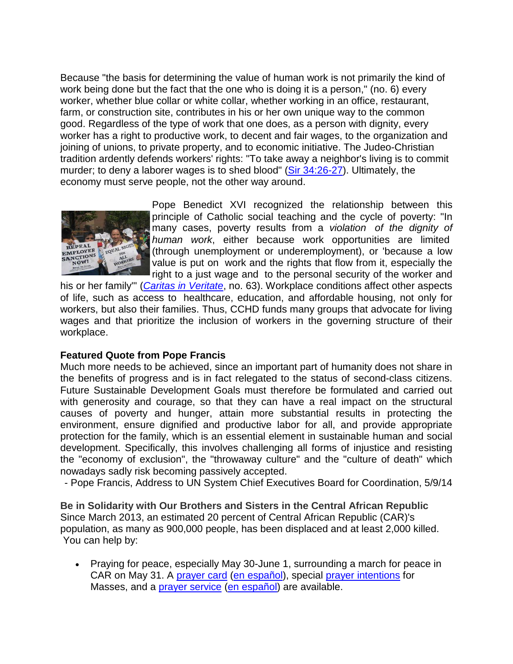Because "the basis for determining the value of human work is not primarily the kind of work being done but the fact that the one who is doing it is a person," (no. 6) every worker, whether blue collar or white collar, whether working in an office, restaurant, farm, or construction site, contributes in his or her own unique way to the common good. Regardless of the type of work that one does, as a person with dignity, every worker has a right to productive work, to decent and fair wages, to the organization and joining of unions, to private property, and to economic initiative. The Judeo-Christian tradition ardently defends workers' rights: "To take away a neighbor's living is to commit murder; to deny a laborer wages is to shed blood" [\(Sir 34:26-27\)](http://r20.rs6.net/tn.jsp?f=001bRZy8533bIc2Qgf3Ucc6I378pi2GCu-yZf48iTEx6g__z2145f4qgyH3npDJ5wNJWVD8nMIBFbmijRzPwcMqxT_BbvBGT8UAr-62wEMLjCaGGKEKDGaMnoTOXMV6mZNshhyHB08COK8CouGPsblNPbGDI1A4Q6yvoPxxjr-gmUZ1mnf_PY4yAhgBqdR3p_3u&c=N7t9bfLTqMUv2lsXjcd46tP_vCy2TieF6wvGk0aLr6pVERlEqzR2WA==&ch=WLnpC2sMMsikGqrK_QA4aLYaJnz0ZzeBSAYp9Ot86iJ7uhVfjdmToQ==). Ultimately, the economy must serve people, not the other way around.



Pope Benedict XVI recognized the relationship between this principle of Catholic social teaching and the cycle of poverty: "In many cases, poverty results from a *violation of the dignity of human work*, either because work opportunities are limited (through unemployment or underemployment), or 'because a low value is put on work and the rights that flow from it, especially the right to a just wage and to the personal security of the worker and

his or her family'" (*[Caritas in Veritate](http://r20.rs6.net/tn.jsp?f=001bRZy8533bIc2Qgf3Ucc6I378pi2GCu-yZf48iTEx6g__z2145f4qg0Nf_UXWKyjuD7bWhzPRNkxODS5in1MBWEPw2nEVhDdWMVkDvqk18eG7keoUhKEArXJ0Cc33MiVdLsanhAS782T5LWPMPXDUXCfmuH5qDYm0Mu89csEQI8qyGQsbjs9X0WxLEZdkLE92N5MhorOVWsaJnMC7Y1KnljrgWH66yIB5EJ3hFeLEklJ6cwKjqaaE0EmJBXixcugTNbDNhVfDMoczUMfZ3jc5Nd8ox1U97TbW7eYUdDOAAPnEwOe4T9nJDg==&c=N7t9bfLTqMUv2lsXjcd46tP_vCy2TieF6wvGk0aLr6pVERlEqzR2WA==&ch=WLnpC2sMMsikGqrK_QA4aLYaJnz0ZzeBSAYp9Ot86iJ7uhVfjdmToQ==)*, no. 63). Workplace conditions affect other aspects of life, such as access to healthcare, education, and affordable housing, not only for workers, but also their families. Thus, CCHD funds many groups that advocate for living wages and that prioritize the inclusion of workers in the governing structure of their workplace.

#### **Featured Quote from Pope Francis**

Much more needs to be achieved, since an important part of humanity does not share in the benefits of progress and is in fact relegated to the status of second-class citizens. Future Sustainable Development Goals must therefore be formulated and carried out with generosity and courage, so that they can have a real impact on the structural causes of poverty and hunger, attain more substantial results in protecting the environment, ensure dignified and productive labor for all, and provide appropriate protection for the family, which is an essential element in sustainable human and social development. Specifically, this involves challenging all forms of injustice and resisting the "economy of exclusion", the "throwaway culture" and the "culture of death" which nowadays sadly risk becoming passively accepted.

- Pope Francis, Address to UN System Chief Executives Board for Coordination, 5/9/14

**Be in Solidarity with Our Brothers and Sisters in the Central African Republic** Since March 2013, an estimated 20 percent of Central African Republic (CAR)'s population, as many as 900,000 people, has been displaced and at least 2,000 killed. You can help by:

• Praying for peace, especially May 30-June 1, surrounding a march for peace in CAR on May 31. A [prayer card](http://r20.rs6.net/tn.jsp?f=001uMuqbQ4fqlhydXxKE3m7NoVuR-xwLylKG9zwqxP28APBNseiql_psb9BBuHO-tbm1GliY-Ags6jQDsS-ghxqjUeyvQq2LCilz_K5TKfk5ikKaNc6iP5ReqMBiPQqFRNkMIsSlkt1sFhi_Z_ICTKDhNOrazfTtOOYPgDDe2hJ797nvkxtYjPb1bnEKElWKELIPt5s51ccqE4qC6gjuarUWgfN7xbPb1cJPQa05R5wiNAryeLbf5H4bjTNx-OxTAYegqhckQnVflQ=&c=H_tSxvNoHulV_M9Er7_rJk9JMRIJ3efqNHUMbgS8WqfpF8ZA15y9vw==&ch=iRul4-qa2nREI6AVDDdGWjR6GdLJPaFgwMtStgmw1x1OwKAdzTX4SQ==) [\(en español\)](http://r20.rs6.net/tn.jsp?f=001uMuqbQ4fqlhydXxKE3m7NoVuR-xwLylKG9zwqxP28APBNseiql_psb9BBuHO-tbm8PzAyJR8uvK193uIPEbNNGswBT3BY06TtQeHrwdJ8AEtCVpV9kJmrLN9RBIPlrYoaDUBgheHSpCQsTvByIGW1vahjvPTOJrJXD0VA75VTP_2TLBWznX-Fwoc_JEZCNuHJguIV8JAvoEBbijqkFhnRgN07QghmUeejgZ48yeSWivwYRcaZfYvTlXlGd89CEzi&c=H_tSxvNoHulV_M9Er7_rJk9JMRIJ3efqNHUMbgS8WqfpF8ZA15y9vw==&ch=iRul4-qa2nREI6AVDDdGWjR6GdLJPaFgwMtStgmw1x1OwKAdzTX4SQ==), special [prayer intentions](http://r20.rs6.net/tn.jsp?f=001uMuqbQ4fqlhydXxKE3m7NoVuR-xwLylKG9zwqxP28APBNseiql_psb9BBuHO-tbmi_4XY9xYnwHlVY3VIx8hC5DnFT0PhDflq_TlgObMfWBzyYrbah73vnUIV8PPCchdNR-auijBjWK6nv7jSbU-Az8XwmF9g9zTo9fGq70fn6k-J6pwt4Z3NyF7s0ytHOhD_7hrM7CpXsJLFkUFO_lgcU6ZylZEhs7OjDx6WmTQ9a2j46EEpQyPigEz-DFuKvgmuKsKGq7CHk6HAYsHtPqwmwOn5qNrvqqQ&c=H_tSxvNoHulV_M9Er7_rJk9JMRIJ3efqNHUMbgS8WqfpF8ZA15y9vw==&ch=iRul4-qa2nREI6AVDDdGWjR6GdLJPaFgwMtStgmw1x1OwKAdzTX4SQ==) for Masses, and a [prayer service](http://r20.rs6.net/tn.jsp?f=001uMuqbQ4fqlhydXxKE3m7NoVuR-xwLylKG9zwqxP28APBNseiql_psb9BBuHO-tbmT0yfW85CT1w0tQYVjhx-5GFnE0tu87fdYriWHiiqC1H2OmGxBATxZLTyFjOw6pSZyFK4d5ECEKn0FNAqEaqlwz-ZgC5DJA82yHhj6tkjI8HISJOJOTp7BbWQaoVgeN0tTbVBkwV-JjAogqp6sp741qKIlqh26ydwtaDwcGvy3XWwhCUN8ucM1CXQY6ljMgkvPFcKlC8PF-K4Be3xZtFVVrfvnEiqGgarrb1-89dZwoskNkwXpmcO_HC78rWHBVg6&c=H_tSxvNoHulV_M9Er7_rJk9JMRIJ3efqNHUMbgS8WqfpF8ZA15y9vw==&ch=iRul4-qa2nREI6AVDDdGWjR6GdLJPaFgwMtStgmw1x1OwKAdzTX4SQ==) [\(en español\)](http://r20.rs6.net/tn.jsp?f=001uMuqbQ4fqlhydXxKE3m7NoVuR-xwLylKG9zwqxP28APBNseiql_psb9BBuHO-tbmv98wz31Td52BljtHPiHU72VSL-AGpmzOLGwT2kaOh1oC_uIb7Z2Dz2aHGawTLX0tfgieonzO943Zv1TZHdv2KsWfsJkuhR1ptkL6oC8eFn8LxUZ5cu47PfyAdOVItCvDrkT5NpvB8ri-JBnjDuB1bYEs5N9MnaHbQibitwmurQZEfol3SbcWdQ==&c=H_tSxvNoHulV_M9Er7_rJk9JMRIJ3efqNHUMbgS8WqfpF8ZA15y9vw==&ch=iRul4-qa2nREI6AVDDdGWjR6GdLJPaFgwMtStgmw1x1OwKAdzTX4SQ==) are available.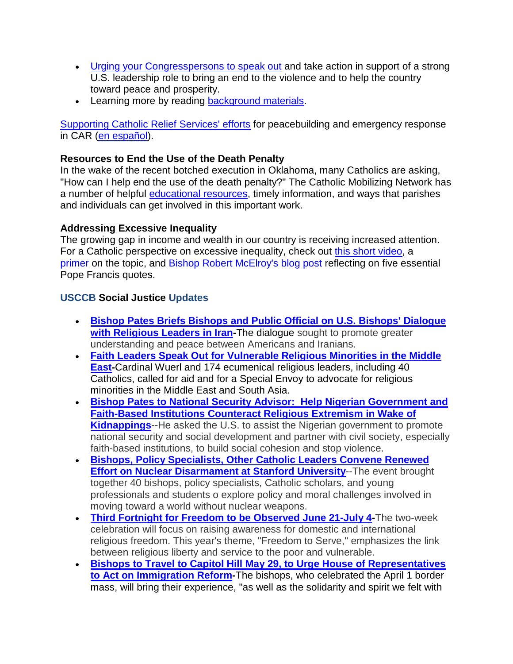- [Urging your Congresspersons to speak out](http://r20.rs6.net/tn.jsp?f=001uMuqbQ4fqlhydXxKE3m7NoVuR-xwLylKG9zwqxP28APBNseiql_psb9BBuHO-tbmDgiqsXxLaQrDm96l7D4jTSh0foJkNvBQ5_9GgCKVCqs_iab-cWhnMbCShi2O97vsatNM-OpExuAevZOk5ijiyWeTbNtjKPqgwdlpzSKvJbwzMCnEvRIKvfLW9nC33eAqsAAWjr9b1TkVYwIs7FFleLz9xYIX6w2qkfoxNdBN8D8DoOmg7kLE8AcQXV8jDKCzgOd9Xay3rHOivUlKX6cmWeVx65iYVM3i&c=H_tSxvNoHulV_M9Er7_rJk9JMRIJ3efqNHUMbgS8WqfpF8ZA15y9vw==&ch=iRul4-qa2nREI6AVDDdGWjR6GdLJPaFgwMtStgmw1x1OwKAdzTX4SQ==) and take action in support of a strong U.S. leadership role to bring an end to the violence and to help the country toward peace and prosperity.
- Learning more by reading [background materials.](http://r20.rs6.net/tn.jsp?f=001uMuqbQ4fqlhydXxKE3m7NoVuR-xwLylKG9zwqxP28APBNseiql_psb9BBuHO-tbmsTTVhzCOaKYpjEyIi7qfXxd_EldNugNcdQNO61q344cS_XWFZAYMuYFFxZut6Vbje8pNkZxanM6blfIKHaIT8f8HguQoHnb-c_-yMyefdWtucsB-cACgN085wj-vX7bGEGwLO_-rF7SG_ulUVDDaM3QSeigcZ-jnhlEFpc5zvAbHTeutaAtT2msGKB5vVxb_NGTzkxjA1weelyagzjFn4w==&c=H_tSxvNoHulV_M9Er7_rJk9JMRIJ3efqNHUMbgS8WqfpF8ZA15y9vw==&ch=iRul4-qa2nREI6AVDDdGWjR6GdLJPaFgwMtStgmw1x1OwKAdzTX4SQ==)

[Supporting Catholic Relief Services' efforts](http://r20.rs6.net/tn.jsp?f=001uMuqbQ4fqlhydXxKE3m7NoVuR-xwLylKG9zwqxP28APBNseiql_psb9BBuHO-tbmpR7XYWvQQ9K2pgBzzI30Qm48tCnWqmpdOWvss2XrgGoyoPkYktr-yzvsvHHtTW_OjYpB06EJeFe0JgUntjktJUJlcyIXYkMtu58mQ2P49Kl0aAXmnSEvHqjDfwJkc2qoE9hzI8m3luhovj1asMoXVlgrtvhr2Whq3K6bG-3Adi0QZKDRCWe3Vc-LoKV__fVG6E8aSsNnQO22-RmVLRRp1bISKHMSxfmjvQl5I77_y9g7gNQWnFWHYxWvGTNL5yy6zX8SzrAM09_-yuZm9PoBEHsa96yuAO-FnDWKGfNDwGqCt27u1xJLYyHG4S6HINyjMzMyZKGqW-8QCAaHUmRbqw==&c=H_tSxvNoHulV_M9Er7_rJk9JMRIJ3efqNHUMbgS8WqfpF8ZA15y9vw==&ch=iRul4-qa2nREI6AVDDdGWjR6GdLJPaFgwMtStgmw1x1OwKAdzTX4SQ==) for peacebuilding and emergency response in CAR (en [español\)](http://r20.rs6.net/tn.jsp?f=001uMuqbQ4fqlhydXxKE3m7NoVuR-xwLylKG9zwqxP28APBNseiql_psb9BBuHO-tbmn-jZ1tfcFOoUgq0A8jZ98pOehRegfbIsU8biMYdw5-uyizTmZU-I6h3g_MOldJfhJCPmPvcrkNbOBekPiW_0n02EsSGgiWFbfq6DD6TDoEHx2LUoeUys0eoxgMDHNkAHxzevuBNOTzWbYyaueazIfv0gbohbcOS3e-9S4QpDoMQ=&c=H_tSxvNoHulV_M9Er7_rJk9JMRIJ3efqNHUMbgS8WqfpF8ZA15y9vw==&ch=iRul4-qa2nREI6AVDDdGWjR6GdLJPaFgwMtStgmw1x1OwKAdzTX4SQ==).

## **Resources to End the Use of the Death Penalty**

In the wake of the recent botched execution in Oklahoma, many Catholics are asking, "How can I help end the use of the death penalty?" The Catholic Mobilizing Network has a number of helpful [educational resources,](http://r20.rs6.net/tn.jsp?f=001uMuqbQ4fqlhydXxKE3m7NoVuR-xwLylKG9zwqxP28APBNseiql_psb9BBuHO-tbmynpXh9OPPkPpVnqQnCEhXcz-bCYTnahxar_ynhpgHqn2MQK2RSR2EqB00_kaoKi1Y5bioBJAneFH2NKSzHq4ZD07Tj0sk5veaChQdPluZa1iupnfthF-M5A_sK8WWwgK58-zT-WJwFA=&c=H_tSxvNoHulV_M9Er7_rJk9JMRIJ3efqNHUMbgS8WqfpF8ZA15y9vw==&ch=iRul4-qa2nREI6AVDDdGWjR6GdLJPaFgwMtStgmw1x1OwKAdzTX4SQ==) timely information, and ways that parishes and individuals can get involved in this important work.

## **Addressing Excessive Inequality**

The growing gap in income and wealth in our country is receiving increased attention. For a Catholic perspective on excessive inequality, check out [this short video,](http://r20.rs6.net/tn.jsp?f=001uMuqbQ4fqlhydXxKE3m7NoVuR-xwLylKG9zwqxP28APBNseiql_psVcwsMO8o0yVtI7XspTZvISXjiiTcIul4vQ7om6_PHKxyo2jyHXywv3h8oGFphuIUXUWs6r6h_yzkzVDTAVBkav05vcEg7ogc7K_NTmlHlkr0dZuxz2sVDrxzV0XNWogUYifzxS8bFQA6D_YAl6-l7aqilmPOMSMv3kV2_PppE0H6bWwum7wx5fUcarcf_zSiXVde4ATEwwXhNKuabHHg4AN4TORMi42G_KQqCrQWwth_2Y8fsgiP9I=&c=H_tSxvNoHulV_M9Er7_rJk9JMRIJ3efqNHUMbgS8WqfpF8ZA15y9vw==&ch=iRul4-qa2nREI6AVDDdGWjR6GdLJPaFgwMtStgmw1x1OwKAdzTX4SQ==) a [primer](http://r20.rs6.net/tn.jsp?f=001uMuqbQ4fqlhydXxKE3m7NoVuR-xwLylKG9zwqxP28APBNseiql_psb9BBuHO-tbmzFEqJT_mlIZ3v9KROjXVxdOmMUCyobiLYODlFebts3KBXXJeU_x2C8dYOCk4zx9gfn2-9Oun5S-6J_6u4ufE6y6VxUhE_n92Ru3863BvCilK7Sn9yXoS48gp8ygMC04F1kugn3AfaFUFr-xYWFFWmm9u6c7L6t25vb48XPZ14YCX4c1imbCUoqUDPWenh3UukhC--_veiiwTU4_YFDykfcNdHPHv1mpQ5UfvlKMAwGgdLGaFOSbzhg==&c=H_tSxvNoHulV_M9Er7_rJk9JMRIJ3efqNHUMbgS8WqfpF8ZA15y9vw==&ch=iRul4-qa2nREI6AVDDdGWjR6GdLJPaFgwMtStgmw1x1OwKAdzTX4SQ==) on the topic, and [Bishop Robert McElroy's blog post](http://r20.rs6.net/tn.jsp?f=001uMuqbQ4fqlhydXxKE3m7NoVuR-xwLylKG9zwqxP28APBNseiql_psb498pC9gcs38u2XDA4Y6uDR7nXhV_Z_E2XdaC6bRR3z-dRVVjLL3Y5bSeWBShACvuNHW7hgVvDn-M9uv1YPoohg1YyqPly8j3B9atlYUi3bnP4ICjlrQNHojvT1WOx9AedULYtOoMJKc2SlA03c5rY1GGdOMm7CGAezMTv_2bTEuLNXz2nk81IA1AEjkGHqRLibMrnmtwnu&c=H_tSxvNoHulV_M9Er7_rJk9JMRIJ3efqNHUMbgS8WqfpF8ZA15y9vw==&ch=iRul4-qa2nREI6AVDDdGWjR6GdLJPaFgwMtStgmw1x1OwKAdzTX4SQ==) reflecting on five essential Pope Francis quotes.

## **USCCB Social Justice Updates**

- **[Bishop Pates Briefs Bishops and Public Official on U.S. Bishops' Dialogue](http://r20.rs6.net/tn.jsp?f=001uMuqbQ4fqlhydXxKE3m7NoVuR-xwLylKG9zwqxP28APBNseiql_psb9BBuHO-tbma83IxAKyTDGmZ_IxNDnhnvjOkUfv4kXquBwlPlxNLylPNUDjRakvNNHJsyX99BzNIUCx9ZtekYhbeP6yEIu9iThUSIn-iTNs4jcQfB2ol1YBjl-Z2YGA0DcpADvoQkvJmePgA3GCrTQ=&c=H_tSxvNoHulV_M9Er7_rJk9JMRIJ3efqNHUMbgS8WqfpF8ZA15y9vw==&ch=iRul4-qa2nREI6AVDDdGWjR6GdLJPaFgwMtStgmw1x1OwKAdzTX4SQ==)  [with Religious Leaders in Iran-](http://r20.rs6.net/tn.jsp?f=001uMuqbQ4fqlhydXxKE3m7NoVuR-xwLylKG9zwqxP28APBNseiql_psb9BBuHO-tbma83IxAKyTDGmZ_IxNDnhnvjOkUfv4kXquBwlPlxNLylPNUDjRakvNNHJsyX99BzNIUCx9ZtekYhbeP6yEIu9iThUSIn-iTNs4jcQfB2ol1YBjl-Z2YGA0DcpADvoQkvJmePgA3GCrTQ=&c=H_tSxvNoHulV_M9Er7_rJk9JMRIJ3efqNHUMbgS8WqfpF8ZA15y9vw==&ch=iRul4-qa2nREI6AVDDdGWjR6GdLJPaFgwMtStgmw1x1OwKAdzTX4SQ==)**The dialogue sought to promote greater understanding and peace between Americans and Iranians.
- **[Faith Leaders Speak Out for Vulnerable Religious Minorities in the Middle](http://r20.rs6.net/tn.jsp?f=001uMuqbQ4fqlhydXxKE3m7NoVuR-xwLylKG9zwqxP28APBNseiql_psb9BBuHO-tbmGCkuVVYkcbgDYwGjxZa0dm_4Q_4TyDqpPB5ih7YK_s5pct5dTD8Y9QWJzzyNkyyXi0rF6sMR5Ik3tso6M9O3nr9xKf9vIJwFqPR0g1hS40w-WZ6ANHacW3b18sPArgZKXGF52ZbDhwFA7GxStHDDzlZk0jO695J8y1nCYhLD3gdmZXxGdfOe3_ZudCKILrFqnHHyll3ehAk2u2aytPoueTP6wyZztogpmDQ_dnyhwMmN0HQL0ZI-ug==&c=H_tSxvNoHulV_M9Er7_rJk9JMRIJ3efqNHUMbgS8WqfpF8ZA15y9vw==&ch=iRul4-qa2nREI6AVDDdGWjR6GdLJPaFgwMtStgmw1x1OwKAdzTX4SQ==)  [East-](http://r20.rs6.net/tn.jsp?f=001uMuqbQ4fqlhydXxKE3m7NoVuR-xwLylKG9zwqxP28APBNseiql_psb9BBuHO-tbmGCkuVVYkcbgDYwGjxZa0dm_4Q_4TyDqpPB5ih7YK_s5pct5dTD8Y9QWJzzyNkyyXi0rF6sMR5Ik3tso6M9O3nr9xKf9vIJwFqPR0g1hS40w-WZ6ANHacW3b18sPArgZKXGF52ZbDhwFA7GxStHDDzlZk0jO695J8y1nCYhLD3gdmZXxGdfOe3_ZudCKILrFqnHHyll3ehAk2u2aytPoueTP6wyZztogpmDQ_dnyhwMmN0HQL0ZI-ug==&c=H_tSxvNoHulV_M9Er7_rJk9JMRIJ3efqNHUMbgS8WqfpF8ZA15y9vw==&ch=iRul4-qa2nREI6AVDDdGWjR6GdLJPaFgwMtStgmw1x1OwKAdzTX4SQ==)**Cardinal Wuerl and 174 ecumenical religious leaders, including 40 Catholics, called for aid and for a Special Envoy to advocate for religious minorities in the Middle East and South Asia.
- **[Bishop Pates to National Security Advisor:](http://r20.rs6.net/tn.jsp?f=001uMuqbQ4fqlhydXxKE3m7NoVuR-xwLylKG9zwqxP28APBNseiql_psb9BBuHO-tbmPazo2XqhWg41t-d9RGGkCR-pobo_RbSnffyZJ4ELn_EjBJv4APTRIP-ePd48Y-4JnLW-vl9qo4RavubKMg9B7xbvO4KzpL1oSDLljbowp4rSVRPbnPxgkdgkq64E9-p086qKivdwimc=&c=H_tSxvNoHulV_M9Er7_rJk9JMRIJ3efqNHUMbgS8WqfpF8ZA15y9vw==&ch=iRul4-qa2nREI6AVDDdGWjR6GdLJPaFgwMtStgmw1x1OwKAdzTX4SQ==) Help Nigerian Government and [Faith-Based Institutions Counteract Religious Extremism in Wake of](http://r20.rs6.net/tn.jsp?f=001uMuqbQ4fqlhydXxKE3m7NoVuR-xwLylKG9zwqxP28APBNseiql_psb9BBuHO-tbmPazo2XqhWg41t-d9RGGkCR-pobo_RbSnffyZJ4ELn_EjBJv4APTRIP-ePd48Y-4JnLW-vl9qo4RavubKMg9B7xbvO4KzpL1oSDLljbowp4rSVRPbnPxgkdgkq64E9-p086qKivdwimc=&c=H_tSxvNoHulV_M9Er7_rJk9JMRIJ3efqNHUMbgS8WqfpF8ZA15y9vw==&ch=iRul4-qa2nREI6AVDDdGWjR6GdLJPaFgwMtStgmw1x1OwKAdzTX4SQ==)  [Kidnappings](http://r20.rs6.net/tn.jsp?f=001uMuqbQ4fqlhydXxKE3m7NoVuR-xwLylKG9zwqxP28APBNseiql_psb9BBuHO-tbmPazo2XqhWg41t-d9RGGkCR-pobo_RbSnffyZJ4ELn_EjBJv4APTRIP-ePd48Y-4JnLW-vl9qo4RavubKMg9B7xbvO4KzpL1oSDLljbowp4rSVRPbnPxgkdgkq64E9-p086qKivdwimc=&c=H_tSxvNoHulV_M9Er7_rJk9JMRIJ3efqNHUMbgS8WqfpF8ZA15y9vw==&ch=iRul4-qa2nREI6AVDDdGWjR6GdLJPaFgwMtStgmw1x1OwKAdzTX4SQ==)**--He asked the U.S. to assist the Nigerian government to promote national security and social development and partner with civil society, especially faith-based institutions, to build social cohesion and stop violence.
- **[Bishops, Policy Specialists, Other Catholic Leaders Convene Renewed](http://r20.rs6.net/tn.jsp?f=001uMuqbQ4fqlhydXxKE3m7NoVuR-xwLylKG9zwqxP28APBNseiql_psb9BBuHO-tbmMWGgl2xfhsjv8nwp8L5Ob8s7T5akLckFkA1ZsOPzaEUS3rX3_MesFuyBvW9PS2nrn-NDXMKCzzkBa2Jk8oFWvesxsduIwVdDUs_kzR1bZ81QPtulFv_pR5SQEj1fceSvWtjWI-cdcQs=&c=H_tSxvNoHulV_M9Er7_rJk9JMRIJ3efqNHUMbgS8WqfpF8ZA15y9vw==&ch=iRul4-qa2nREI6AVDDdGWjR6GdLJPaFgwMtStgmw1x1OwKAdzTX4SQ==)  [Effort on Nuclear Disarmament at Stanford University](http://r20.rs6.net/tn.jsp?f=001uMuqbQ4fqlhydXxKE3m7NoVuR-xwLylKG9zwqxP28APBNseiql_psb9BBuHO-tbmMWGgl2xfhsjv8nwp8L5Ob8s7T5akLckFkA1ZsOPzaEUS3rX3_MesFuyBvW9PS2nrn-NDXMKCzzkBa2Jk8oFWvesxsduIwVdDUs_kzR1bZ81QPtulFv_pR5SQEj1fceSvWtjWI-cdcQs=&c=H_tSxvNoHulV_M9Er7_rJk9JMRIJ3efqNHUMbgS8WqfpF8ZA15y9vw==&ch=iRul4-qa2nREI6AVDDdGWjR6GdLJPaFgwMtStgmw1x1OwKAdzTX4SQ==)--The event brought** together 40 bishops, policy specialists, Catholic scholars, and young professionals and students o explore policy and moral challenges involved in moving toward a world without nuclear weapons.
- **[Third Fortnight for Freedom to be Observed June 21-July 4-](http://r20.rs6.net/tn.jsp?f=001uMuqbQ4fqlhydXxKE3m7NoVuR-xwLylKG9zwqxP28APBNseiql_psb9BBuHO-tbmfJLbVx2jdAwdSxFc3W_wITex0PHLGRJIm7WYLQ2QkVPBIdZnstYrzhEhvHO4BmTMgBcz14ErJD6ElD2KsqjN9qfFegVMHGGkYxu5rmxYZWahsq7TGcfmLEK9Rm805E7KR9ETobdgGxQ=&c=H_tSxvNoHulV_M9Er7_rJk9JMRIJ3efqNHUMbgS8WqfpF8ZA15y9vw==&ch=iRul4-qa2nREI6AVDDdGWjR6GdLJPaFgwMtStgmw1x1OwKAdzTX4SQ==)**The two-week celebration will focus on raising awareness for domestic and international religious freedom. This year's theme, "Freedom to Serve," emphasizes the link between religious liberty and service to the poor and vulnerable.
- **[Bishops to Travel to Capitol Hill May 29, to Urge House of Representatives](http://r20.rs6.net/tn.jsp?f=001uMuqbQ4fqlhydXxKE3m7NoVuR-xwLylKG9zwqxP28APBNseiql_psb9BBuHO-tbml9ErPQipG1RUSDCudWMne1UFevJhS2oDoxN5ShaJ9Eb1s1LFQuK6gCfBC4zvu-50szpeE-M0atDhAFF0GOcs7m9xkRsm7bFdk9ZbthAfMS1AjauW3bEAXpbgZnB-xm9ZU5HJIfOyJ2s=&c=H_tSxvNoHulV_M9Er7_rJk9JMRIJ3efqNHUMbgS8WqfpF8ZA15y9vw==&ch=iRul4-qa2nREI6AVDDdGWjR6GdLJPaFgwMtStgmw1x1OwKAdzTX4SQ==)  [to Act on Immigration Reform-](http://r20.rs6.net/tn.jsp?f=001uMuqbQ4fqlhydXxKE3m7NoVuR-xwLylKG9zwqxP28APBNseiql_psb9BBuHO-tbml9ErPQipG1RUSDCudWMne1UFevJhS2oDoxN5ShaJ9Eb1s1LFQuK6gCfBC4zvu-50szpeE-M0atDhAFF0GOcs7m9xkRsm7bFdk9ZbthAfMS1AjauW3bEAXpbgZnB-xm9ZU5HJIfOyJ2s=&c=H_tSxvNoHulV_M9Er7_rJk9JMRIJ3efqNHUMbgS8WqfpF8ZA15y9vw==&ch=iRul4-qa2nREI6AVDDdGWjR6GdLJPaFgwMtStgmw1x1OwKAdzTX4SQ==)**The bishops, who celebrated the April 1 border mass, will bring their experience, "as well as the solidarity and spirit we felt with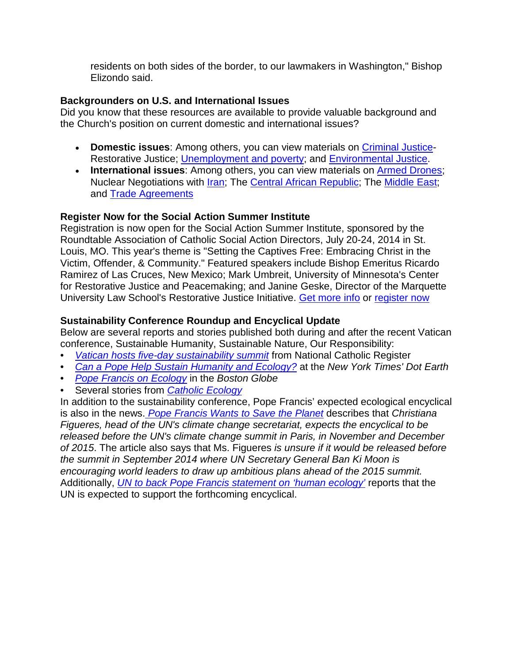residents on both sides of the border, to our lawmakers in Washington," Bishop Elizondo said.

## **Backgrounders on U.S. and International Issues**

Did you know that these resources are available to provide valuable background and the Church's position on current domestic and international issues?

- **Domestic issues**: Among others, you can view materials on [Criminal Justice-](http://r20.rs6.net/tn.jsp?f=001uMuqbQ4fqlhydXxKE3m7NoVuR-xwLylKG9zwqxP28APBNseiql_pse8vX6Tj9_KNP3aL2kflRaXeJozajhB0hMK06W1jawyIDOLygmHHLr3LcGGxWyojK0J-8fweJxK8rh79h-N1Q7P5qCYWv15rSf0ypsw_dl8a6PAGcc2D_COoDsUGHfVTFucSe4eCzCRIyIzA0M8478DQyjmjuCYMaeX-Q6TAWL0v56JK9DNBlj9u6K1SGwlDZkDkt390GFlkWo-evQKz-cLu29BTtdqIUsLynKzOzucT4CZXbbFUnWw=&c=H_tSxvNoHulV_M9Er7_rJk9JMRIJ3efqNHUMbgS8WqfpF8ZA15y9vw==&ch=iRul4-qa2nREI6AVDDdGWjR6GdLJPaFgwMtStgmw1x1OwKAdzTX4SQ==)Restorative Justice; [Unemployment and poverty;](http://r20.rs6.net/tn.jsp?f=001uMuqbQ4fqlhydXxKE3m7NoVuR-xwLylKG9zwqxP28APBNseiql_psRSPPm0TJ-I8g0oW-c7ZkyGf4dfEKarQMdXI1WdIDrCmtZK7PyeK9Y0JDvpQsqRPTAG1Ad-rf62yLDbTxrT0B9v-22JiNhgSxLt3P2dSMkxlQ2w0JyhaksKpbTuxq2D7piSu0cSgDG1CRuJrXDd7XFXSz6832xMUp-WDm-qseg4wNeF9d2Ep4Bi7gI6-A0lIw2qp2upYbl3B3bWT3zEOVRg=&c=H_tSxvNoHulV_M9Er7_rJk9JMRIJ3efqNHUMbgS8WqfpF8ZA15y9vw==&ch=iRul4-qa2nREI6AVDDdGWjR6GdLJPaFgwMtStgmw1x1OwKAdzTX4SQ==) and [Environmental Justice.](http://r20.rs6.net/tn.jsp?f=001uMuqbQ4fqlhydXxKE3m7NoVuR-xwLylKG9zwqxP28APBNseiql_psSEcDJwmbsmYqnzEVfG_j_-CUdwwCsOoSCoHep5Lc8AWy4VB4bxKC_TLgQc0D_Pkrw1qlDmmpwsV_8gwgTugiR7QhiswEMQhG-zdjjdbJfg0PIcndk-oQg3Tes0JgSHSD8RFChETxF5M26lu6TQWluPxdIBEe9zXEwcfqHa7ZOlEfqywoJxv7XvMLgFBpQ1nd5PvaTInmT98&c=H_tSxvNoHulV_M9Er7_rJk9JMRIJ3efqNHUMbgS8WqfpF8ZA15y9vw==&ch=iRul4-qa2nREI6AVDDdGWjR6GdLJPaFgwMtStgmw1x1OwKAdzTX4SQ==)
- **International issues**: Among others, you can view materials on [Armed Drones;](http://r20.rs6.net/tn.jsp?f=001uMuqbQ4fqlhydXxKE3m7NoVuR-xwLylKG9zwqxP28APBNseiql_psb9BBuHO-tbm8fU92EK_D4n9fhgLTKV5XF4El3tN5y1IIVjbhACoNzFXQ4hLiGr21dbttLq8TeyFXa9t5MCj_lgWi0BqrcrZzgQC_MPs6rIWvJa4kPEDA0qrNlbaCcFb4cs4mW5wDkSXTCfX5z23fARyqYJA7pyeCpmLtEBXuO4Og4z_M1HU2rVgVweNbI81kYgBXfI_039EVVYVqBC5A67jI-Ls7K9KLKpoWtgRyHcai6sLMidVw1_eAUjw78oEtQ==&c=H_tSxvNoHulV_M9Er7_rJk9JMRIJ3efqNHUMbgS8WqfpF8ZA15y9vw==&ch=iRul4-qa2nREI6AVDDdGWjR6GdLJPaFgwMtStgmw1x1OwKAdzTX4SQ==) Nuclear Negotiations with *Iran*; The [Central African Republic;](http://r20.rs6.net/tn.jsp?f=001uMuqbQ4fqlhydXxKE3m7NoVuR-xwLylKG9zwqxP28APBNseiql_psb9BBuHO-tbmMt6R-m5FnfH0nGjl0uSZbNtTOEf2zF37pfsHmrqAfdpsgfp5LTq5iXbswagzt1cRSoRHe_4dFNYB6s9uz9AckbgswrO6wZI3knO4HQnkm1AyzS2GcWjJ1KqQ2H6KTbUJXTlgAdwFmSs9orqGEJpjQfuk9T_Wj4uG9csEyl2mWkHrAx4P4ff4Blnhdi-F5KiQTLFrz-h3JGBZlm5fOizA4UlVTXqFtKocFkwFCcJbP0ku0DYYKQBBcexgwQ4gm6zTS87OMPYFtEQOWDXpKzZ3fKmZoE0K0QDZPVYhTDuF0jppjVHa8NOT0A==&c=H_tSxvNoHulV_M9Er7_rJk9JMRIJ3efqNHUMbgS8WqfpF8ZA15y9vw==&ch=iRul4-qa2nREI6AVDDdGWjR6GdLJPaFgwMtStgmw1x1OwKAdzTX4SQ==) The [Middle East;](http://r20.rs6.net/tn.jsp?f=001uMuqbQ4fqlhydXxKE3m7NoVuR-xwLylKG9zwqxP28APBNseiql_psb9BBuHO-tbmf552E7JO_sjk0r4Oy6vTcteSM26xbkpAnjwAlfwgYVM27HGMAPdF4nb28a-piOHr8HQDbvXe5Tq6Ge9Q7_qKzaQi9jm1GtPKt0En_sEaK3H1xfECk5eQbevb8cGqaN0Ws8GHyeOGVWy8MSAFa7C2Erwnflq3IjcrOT_KQjRiCbrIWI5pFrDu6bC4udXyK_8oLRzaU33dpil_1KoPmMHVCpuilU1al7Kx2SowYzvVp0JpKwP59Ko1q8_HaiVhhqNGy3GvqESBDes=&c=H_tSxvNoHulV_M9Er7_rJk9JMRIJ3efqNHUMbgS8WqfpF8ZA15y9vw==&ch=iRul4-qa2nREI6AVDDdGWjR6GdLJPaFgwMtStgmw1x1OwKAdzTX4SQ==) and [Trade Agreements](http://r20.rs6.net/tn.jsp?f=001uMuqbQ4fqlhydXxKE3m7NoVuR-xwLylKG9zwqxP28APBNseiql_psb9BBuHO-tbmMxLLqmO4lE5pMqJ07mwPh1Y6nnoEStvXd36gaEuHSu8m7KlLCexg9PmLO4UXydAe2AeexovrutDtJHavBfQwXfJ6JTF7WvmF649dM437Kq0LFqf72uRD9zrfs1eO3NIBB9h1vfwyU3d4RKBFSlRye142-MeVX77HZbOl7DXAK1UFil5AVqSChDRdszIIfgSI6BV-UwOB6WcOAQwAXPqtPqMvKhWmRCfNUmFx5bAellheGijrQE7bEuWFVDmUj3Eq&c=H_tSxvNoHulV_M9Er7_rJk9JMRIJ3efqNHUMbgS8WqfpF8ZA15y9vw==&ch=iRul4-qa2nREI6AVDDdGWjR6GdLJPaFgwMtStgmw1x1OwKAdzTX4SQ==)

# **Register Now for the Social Action Summer Institute**

Registration is now open for the Social Action Summer Institute, sponsored by the Roundtable Association of Catholic Social Action Directors, July 20-24, 2014 in St. Louis, MO. This year's theme is "Setting the Captives Free: Embracing Christ in the Victim, Offender, & Community." Featured speakers include Bishop Emeritus Ricardo Ramirez of Las Cruces, New Mexico; Mark Umbreit, University of Minnesota's Center for Restorative Justice and Peacemaking; and Janine Geske, Director of the Marquette University Law School's Restorative Justice Initiative. [Get more info](http://r20.rs6.net/tn.jsp?f=001uMuqbQ4fqlhydXxKE3m7NoVuR-xwLylKG9zwqxP28APBNseiql_psb9BBuHO-tbma-UApQGp-1T2j_pm-iORA3cYmJks23ZphK0atdr7rQnz-Mqtjxtk0ErrAsPCA3mZ9u7_BOD5nFEiqM66q4eO1rgN4cy4KjyxaiHNbiRSk0P4DQl4D1n-gZHB0AwiKCYaVVudNcneC488tbELZIsAlIkgPngoeXV2npNx4WfbpiKxzCM6NFTuI8VHFcb2EA0E&c=H_tSxvNoHulV_M9Er7_rJk9JMRIJ3efqNHUMbgS8WqfpF8ZA15y9vw==&ch=iRul4-qa2nREI6AVDDdGWjR6GdLJPaFgwMtStgmw1x1OwKAdzTX4SQ==) or [register now](http://r20.rs6.net/tn.jsp?f=001uMuqbQ4fqlhydXxKE3m7NoVuR-xwLylKG9zwqxP28APBNseiql_psb9BBuHO-tbm4rS_-o6e-saGhjMxqS48fr5CC4jar3bxbmQguoeMM8SXJ96QE_wC4l8AJXHAfz_IjtLJcCnsjNIdvkt2IoX6BAHIGRITj61CXYIjimqhcs6RkR5TxKpUp7QFgG0mZzmhfEbTXRHAQ7VjV5gbo0WNMiBWLm63ivma9oGgn4txxBcf-LoJtJHBKJku18Mf75LEtPHScyeq-avJEVqTG1siTTHl8lvM0mTI07SPIwN0IQk=&c=H_tSxvNoHulV_M9Er7_rJk9JMRIJ3efqNHUMbgS8WqfpF8ZA15y9vw==&ch=iRul4-qa2nREI6AVDDdGWjR6GdLJPaFgwMtStgmw1x1OwKAdzTX4SQ==)

# **Sustainability Conference Roundup and Encyclical Update**

Below are several reports and stories published both during and after the recent Vatican conference, Sustainable Humanity, Sustainable Nature, Our Responsibility:

- *[Vatican hosts five-day sustainability summit](http://org2.salsalabs.com/dia/track.jsp?v=2&c=4Ybo%2B3UjwZx%2FTlODAWLbmcVlQfetX7ov)* from National Catholic Register
- *[Can a Pope Help Sustain Humanity and Ecology?](http://org2.salsalabs.com/dia/track.jsp?v=2&c=a2oCBDfrrlV%2BMF1NM8gTosVlQfetX7ov)* at the *New York Times' Dot Earth*
- *[Pope Francis on Ecology](http://org2.salsalabs.com/dia/track.jsp?v=2&c=RwS0nVOv2AvxMJw%2Fkb7uksVlQfetX7ov)* in the *Boston Globe*
- Several stories from *[Catholic Ecology](http://org2.salsalabs.com/dia/track.jsp?v=2&c=K6xrT4g3FfMU1wFbfGv0SMVlQfetX7ov)*

In addition to the sustainability conference, Pope Francis' expected ecological encyclical is also in the news. *[Pope Francis Wants to Save the Planet](http://org2.salsalabs.com/dia/track.jsp?v=2&c=eJkWU4YcNI%2B0nv32phhjPsVlQfetX7ov)* describes that *Christiana Figueres, head of the UN's climate change secretariat, expects the encyclical to be released before the UN's climate change summit in Paris, in November and December of 2015*. The article also says that Ms. Figueres *is unsure if it would be released before the summit in September 2014 where UN Secretary General Ban Ki Moon is encouraging world leaders to draw up ambitious plans ahead of the 2015 summit.*  Additionally, *[UN to back Pope Francis statement on 'human ecology'](http://org2.salsalabs.com/dia/track.jsp?v=2&c=8hQEEq8HhiVPjQc8rmbt%2BcVlQfetX7ov)* reports that the UN is expected to support the forthcoming encyclical.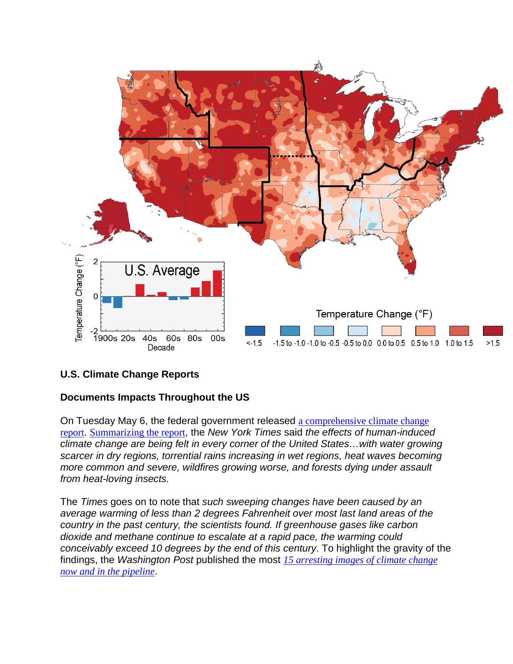

## **U.S. Climate Change Reports**

## **Documents Impacts Throughout the US**

On Tuesday May 6, the federal government released [a comprehensive climate change](http://org2.salsalabs.com/dia/track.jsp?v=2&c=OAcmvlm70RAvnNp44kQxEsVlQfetX7ov)  [report](http://org2.salsalabs.com/dia/track.jsp?v=2&c=OAcmvlm70RAvnNp44kQxEsVlQfetX7ov). [Summarizing the report](http://org2.salsalabs.com/dia/track.jsp?v=2&c=b0eUXIWN%2BNUPhlPjRAzmmx6cRqOoFkne), the *New York Times* said *the effects of human-induced climate change are being felt in every corner of the United States…with water growing scarcer in dry regions, torrential rains increasing in wet regions, heat waves becoming more common and severe, wildfires growing worse, and forests dying under assault from heat-loving insects.* 

The *Times* goes on to note that *such sweeping changes have been caused by an average warming of less than 2 degrees Fahrenheit over most last land areas of the country in the past century, the scientists found. If greenhouse gases like carbon dioxide and methane continue to escalate at a rapid pace, the warming could conceivably exceed 10 degrees by the end of this century*. To highlight the gravity of the findings, the *Washington Post* published the most *[15 arresting images of climate change](http://org2.salsalabs.com/dia/track.jsp?v=2&c=MwwQdnMwF%2FpZyURFu4KrCR6cRqOoFkne)  [now and in the pipeline](http://org2.salsalabs.com/dia/track.jsp?v=2&c=MwwQdnMwF%2FpZyURFu4KrCR6cRqOoFkne)*.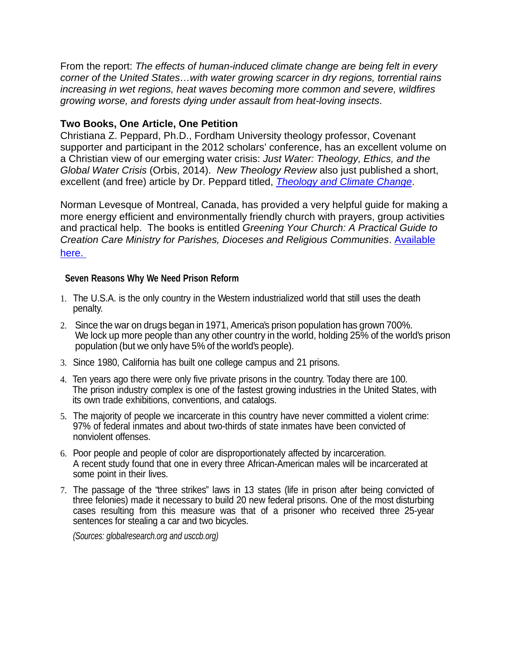From the report: *The effects of human-induced climate change are being felt in every corner of the United States…with water growing scarcer in dry regions, torrential rains increasing in wet regions, heat waves becoming more common and severe, wildfires growing worse, and forests dying under assault from heat-loving insects*.

#### **Two Books, One Article, One Petition**

Christiana Z. Peppard, Ph.D., Fordham University theology professor, Covenant supporter and participant in the 2012 scholars' conference, has an excellent volume on a Christian view of our emerging water crisis: *Just Water: Theology, Ethics, and the Global Water Crisis* (Orbis, 2014). *New Theology Review* also just published a short, excellent (and free) article by Dr. Peppard titled, *[Theology and Climate Change](http://org2.salsalabs.com/dia/track.jsp?v=2&c=L39Pt4Fk00LcO47ArGMjSMVlQfetX7ov)*.

Norman Levesque of Montreal, Canada, has provided a very helpful guide for making a more energy efficient and environmentally friendly church with prayers, group activities and practical help. The books is entitled *Greening Your Church: A Practical Guide to Creation Care Ministry for Parishes, Dioceses and Religious Communities*. [Available](http://org2.salsalabs.com/dia/track.jsp?v=2&c=ATWEKT9clLpbDvlsVANkecVlQfetX7ov)  here. Ut how you can help side studying the issues with the issues with the issues with the issues with the issues

#### **Seven Reasons Why We Need Prison Reform**

- 1. The U.S.A. is the only country in the Western industrialized world that still uses the death penalty.
- 2. Since the war on drugs began in 1971, America's prison population has grown 700%. We lock up more people than any other country in the world, holding 25% of the world's prison population (but we only have 5% of the world's people).
- 3. Since 1980, California has built one college campus and 21 prisons.
- 4. Ten years ago there were only five private prisons in the country. Today there are 100. The prison industry complex is one of the fastest growing industries in the United States, with its own trade exhibitions, conventions, and catalogs.
- 5. The majority of people we incarcerate in this country have never committed a violent crime: 97% of federal inmates and about two-thirds of state inmates have been convicted of nonviolent offenses.
- 6. Poor people and people of color are disproportionately affected by incarceration. A recent study found that one in every three African-American males will be incarcerated at some point in their lives.
- 7. The passage of the "three strikes" laws in 13 states (life in prison after being convicted of three felonies) made it necessary to build 20 new federal prisons. One of the most disturbing cases resulting from this measure was that of a prisoner who received three 25-year sentences for stealing a car and two bicycles.

*(Sources: globalresearch.org and usccb.org)*